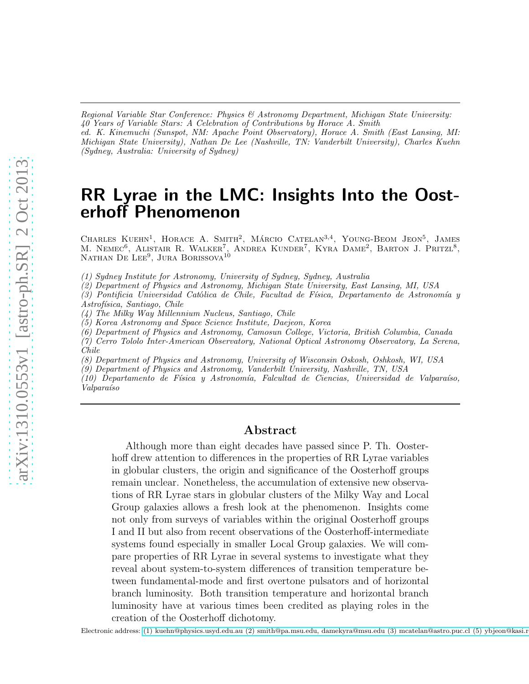*Regional Variable Star Conference: Physics & Astronomy Department, Michigan State University: 40 Years of Variable Stars: A Celebration of Contributions by Horace A. Smith ed. K. Kinemuchi (Sunspot, NM: Apache Point Observatory), Horace A. Smith (East Lansing, MI: Michigan State University), Nathan De Lee (Nashville, TN: Vanderbilt University), Charles Kuehn (Sydney, Australia: University of Sydney)*

RR Lyrae in the LMC: Insights Into the Oosterhoff Phenomenon

CHARLES KUEHN<sup>1</sup>, HORACE A. SMITH<sup>2</sup>, MÁRCIO CATELAN<sup>3,4</sup>, YOUNG-BEOM JEON<sup>5</sup>, JAMES M. NEMEC<sup>6</sup>, ALISTAIR R. WALKER<sup>7</sup>, ANDREA KUNDER<sup>7</sup>, KYRA DAME<sup>2</sup>, BARTON J. PRITZL<sup>8</sup>, NATHAN DE LEE<sup>9</sup>, JURA BORISSOVA<sup>10</sup>

*(1) Sydney Institute for Astronomy, University of Sydney, Sydney, Australia*

*(2) Department of Physics and Astronomy, Michigan State University, East Lansing, MI, USA*

*(3) Pontificia Universidad Cat*´o*lica de Chile, Facultad de F´ısica, Departamento de Astronom´ıa y Astrof´ısica, Santiago, Chile*

*(4) The Milky Way Millennium Nucleus, Santiago, Chile*

*(5) Korea Astronomy and Space Science Institute, Daejeon, Korea*

*(6) Department of Physics and Astronomy, Camosun College, Victoria, British Columbia, Canada*

*(7) Cerro Tololo Inter-American Observatory, National Optical Astronomy Observatory, La Serena, Chile*

*(8) Department of Physics and Astronomy, University of Wisconsin Oskosh, Oshkosh, WI, USA*

*(9) Department of Physics and Astronomy, Vanderbilt University, Nashville, TN, USA*

*(10) Departamento de F´ısica y Astronom´ıa, Falcultad de Ciencias, Universidad de Valpara´ıso, Valpara´ıso*

### Abstract

Although more than eight decades have passed since P. Th. Oosterhoff drew attention to differences in the properties of RR Lyrae variables in globular clusters, the origin and significance of the Oosterhoff groups remain unclear. Nonetheless, the accumulation of extensive new observations of RR Lyrae stars in globular clusters of the Milky Way and Local Group galaxies allows a fresh look at the phenomenon. Insights come not only from surveys of variables within the original Oosterhoff groups I and II but also from recent observations of the Oosterhoff-intermediate systems found especially in smaller Local Group galaxies. We will compare properties of RR Lyrae in several systems to investigate what they reveal about system-to-system differences of transition temperature between fundamental-mode and first overtone pulsators and of horizontal branch luminosity. Both transition temperature and horizontal branch luminosity have at various times been credited as playing roles in the creation of the Oosterhoff dichotomy.

Electronic address: (1) kuehn@physics.usyd.edu.au (2) smith@pa.msu.edu, damekyra@msu.edu (3) mcatelan@astro.puc.cl (5) ybjeon@kasi.r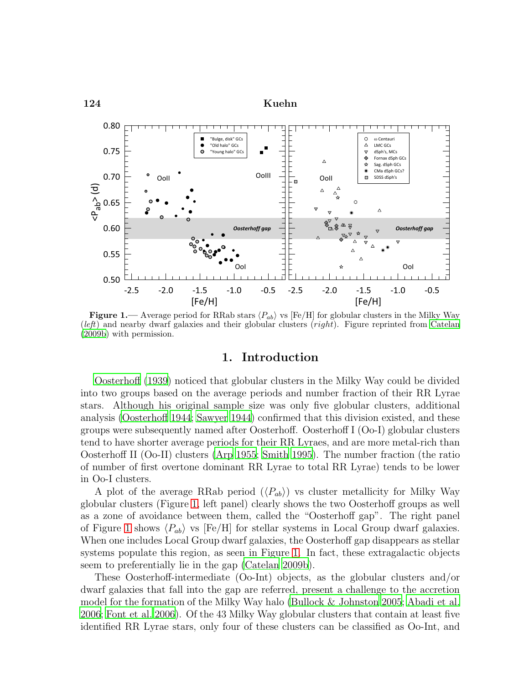

<span id="page-1-0"></span>**Figure 1.**— Average period for RRab stars  $\langle P_{ab} \rangle$  vs [Fe/H] for globular clusters in the Milky Way (*left*) and nearby dwarf galaxies and their globular clusters (right). Figure reprinted from [Catelan](#page-14-0) [\(2009b\)](#page-14-0) with permission.

## 1. Introduction

[Oosterhoff \(1939](#page-15-0)) noticed that globular clusters in the Milky Way could be divided into two groups based on the average periods and number fraction of their RR Lyrae stars. Although his original sample size was only five globular clusters, additional analysis [\(Oosterhoff 1944](#page-15-1); [Sawyer 1944\)](#page-15-2) confirmed that this division existed, and these groups were subsequently named after Oosterhoff. Oosterhoff I (Oo-I) globular clusters tend to have shorter average periods for their RR Lyraes, and are more metal-rich than Oosterhoff II (Oo-II) clusters [\(Arp 1955;](#page-14-1) [Smith 1995\)](#page-15-3). The number fraction (the ratio of number of first overtone dominant RR Lyrae to total RR Lyrae) tends to be lower in Oo-I clusters.

A plot of the average RRab period  $(\langle P_{ab} \rangle)$  vs cluster metallicity for Milky Way globular clusters (Figure [1,](#page-1-0) left panel) clearly shows the two Oosterhoff groups as well as a zone of avoidance between them, called the "Oosterhoff gap". The right panel of Figure [1](#page-1-0) shows  $\langle P_{ab} \rangle$  vs [Fe/H] for stellar systems in Local Group dwarf galaxies. When one includes Local Group dwarf galaxies, the Oosterhoff gap disappears as stellar systems populate this region, as seen in Figure [1.](#page-1-0) In fact, these extragalactic objects seem to preferentially lie in the gap [\(Catelan 2009b](#page-14-0)).

These Oosterhoff-intermediate (Oo-Int) objects, as the globular clusters and/or dwarf galaxies that fall into the gap are referred, present a challenge to the accretion model for the formation of the Milky Way halo [\(Bullock & Johnston 2005](#page-14-2); [Abadi et al.](#page-14-3) [2006;](#page-14-3) [Font et al. 2006\)](#page-14-4). Of the 43 Milky Way globular clusters that contain at least five identified RR Lyrae stars, only four of these clusters can be classified as Oo-Int, and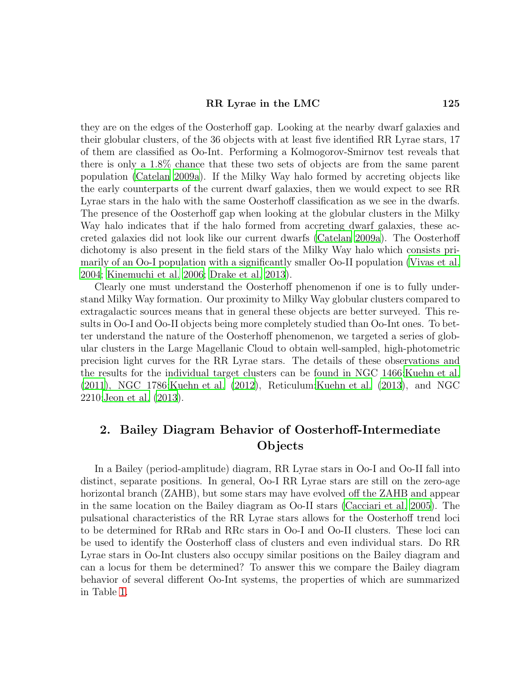#### RR Lyrae in the LMC 125

they are on the edges of the Oosterhoff gap. Looking at the nearby dwarf galaxies and their globular clusters, of the 36 objects with at least five identified RR Lyrae stars, 17 of them are classified as Oo-Int. Performing a Kolmogorov-Smirnov test reveals that there is only a 1.8% chance that these two sets of objects are from the same parent population [\(Catelan 2009a\)](#page-14-5). If the Milky Way halo formed by accreting objects like the early counterparts of the current dwarf galaxies, then we would expect to see RR Lyrae stars in the halo with the same Oosterhoff classification as we see in the dwarfs. The presence of the Oosterhoff gap when looking at the globular clusters in the Milky Way halo indicates that if the halo formed from accreting dwarf galaxies, these accreted galaxies did not look like our current dwarfs [\(Catelan 2009a\)](#page-14-5). The Oosterhoff dichotomy is also present in the field stars of the Milky Way halo which consists primarily of an Oo-I population with a significantly smaller Oo-II population [\(Vivas et al.](#page-15-4) [2004;](#page-15-4) [Kinemuchi et al. 2006;](#page-15-5) [Drake et al. 2013\)](#page-14-6).

Clearly one must understand the Oosterhoff phenomenon if one is to fully understand Milky Way formation. Our proximity to Milky Way globular clusters compared to extragalactic sources means that in general these objects are better surveyed. This results in Oo-I and Oo-II objects being more completely studied than Oo-Int ones. To better understand the nature of the Oosterhoff phenomenon, we targeted a series of globular clusters in the Large Magellanic Cloud to obtain well-sampled, high-photometric precision light curves for the RR Lyrae stars. The details of these observations and the results for the individual target clusters can be found in NGC 1466[:Kuehn et al.](#page-15-6) [\(2011](#page-15-6)), NGC 1786[:Kuehn et al. \(2012\)](#page-15-7), Reticulum[:Kuehn et al. \(2013\)](#page-15-8), and NGC 2210[:Jeon et al. \(2013](#page-15-9)).

# 2. Bailey Diagram Behavior of Oosterhoff-Intermediate **Objects**

In a Bailey (period-amplitude) diagram, RR Lyrae stars in Oo-I and Oo-II fall into distinct, separate positions. In general, Oo-I RR Lyrae stars are still on the zero-age horizontal branch (ZAHB), but some stars may have evolved off the ZAHB and appear in the same location on the Bailey diagram as Oo-II stars [\(Cacciari et](#page-14-7) al. [2005\)](#page-14-7). The pulsational characteristics of the RR Lyrae stars allows for the Oosterhoff trend loci to be determined for RRab and RRc stars in Oo-I and Oo-II clusters. These loci can be used to identify the Oosterhoff class of clusters and even individual stars. Do RR Lyrae stars in Oo-Int clusters also occupy similar positions on the Bailey diagram and can a locus for them be determined? To answer this we compare the Bailey diagram behavior of several different Oo-Int systems, the properties of which are summarized in Table [1.](#page-3-0)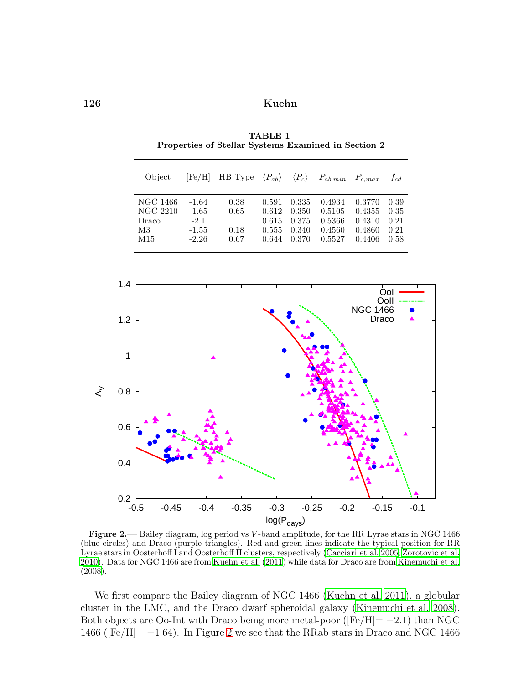| Object                                     | [Fe/H]                                             | HB Type $\langle P_{ab} \rangle$ $\langle P_c \rangle$ $P_{ab,min}$ $P_{c,max}$ |                                           |                                           |                                                |                                                | $f_{cd}$                             |
|--------------------------------------------|----------------------------------------------------|---------------------------------------------------------------------------------|-------------------------------------------|-------------------------------------------|------------------------------------------------|------------------------------------------------|--------------------------------------|
| NGC 1466<br>NGC 2210<br>Draco<br>M3<br>M15 | $-1.64$<br>$-1.65$<br>$-2.1$<br>$-1.55$<br>$-2.26$ | 0.38<br>0.65<br>0.18<br>0.67                                                    | 0.591<br>0.612<br>0.615<br>0.555<br>0.644 | 0.335<br>0.350<br>0.375<br>0.340<br>0.370 | 0.4934<br>0.5105<br>0.5366<br>0.4560<br>0.5527 | 0.3770<br>0.4355<br>0.4310<br>0.4860<br>0.4406 | 0.39<br>0.35<br>0.21<br>0.21<br>0.58 |

<span id="page-3-0"></span>TABLE 1 Properties of Stellar Systems Examined in Section 2



<span id="page-3-1"></span>Figure 2.— Bailey diagram, log period vs V-band amplitude, for the RR Lyrae stars in NGC 1466 (blue circles) and Draco (purple triangles). Red and green lines indicate the typical position for RR Lyrae stars in Oosterhoff I and Oosterhoff II clusters, respectively [\(Cacciari et al. 2005;](#page-14-7) [Zorotovic et al.](#page-15-10) [2010](#page-15-10)). Data for NGC 1466 are from [Kuehn et al. \(2011](#page-15-6)) while data for Draco are from [Kinemuchi et al.](#page-15-11) [\(2008\)](#page-15-11).

We first compare the Bailey diagram of NGC 1466 [\(Kuehn et al. 2011](#page-15-6)), a globular cluster in the LMC, and the Draco dwarf spheroidal galaxy [\(Kinemuchi et al. 2008\)](#page-15-11). Both objects are Oo-Int with Draco being more metal-poor ( $[Fe/H] = -2.1$ ) than NGC 1466 ( $[Fe/H] = -1.64$ ). In Figure [2](#page-3-1) we see that the RRab stars in Draco and NGC 1466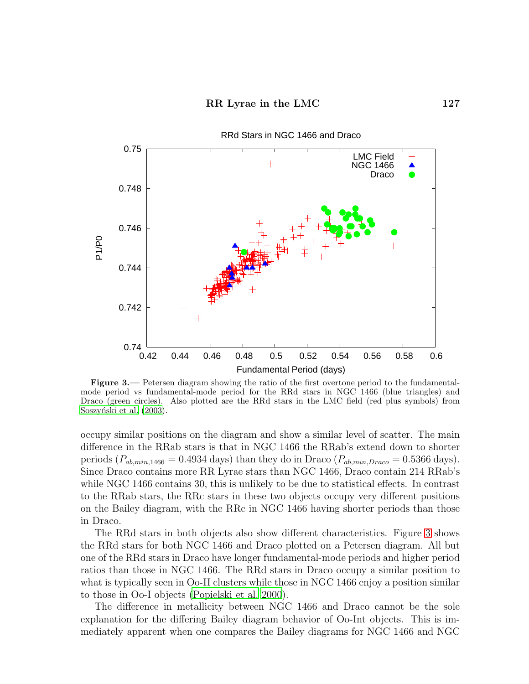

<span id="page-4-0"></span>Figure 3.— Petersen diagram showing the ratio of the first overtone period to the fundamentalmode period vs fundamental-mode period for the RRd stars in NGC 1466 (blue triangles) and Draco (green circles). Also plotted are the RRd stars in the LMC field (red plus symbols) from Soszyński et al. (2003).

occupy similar positions on the diagram and show a similar level of scatter. The main difference in the RRab stars is that in NGC 1466 the RRab's extend down to shorter periods  $(P_{ab,min,1466} = 0.4934$  days) than they do in Draco  $(P_{ab,min,Draco} = 0.5366$  days). Since Draco contains more RR Lyrae stars than NGC 1466, Draco contain 214 RRab's while NGC 1466 contains 30, this is unlikely to be due to statistical effects. In contrast to the RRab stars, the RRc stars in these two objects occupy very different positions on the Bailey diagram, with the RRc in NGC 1466 having shorter periods than those in Draco.

The RRd stars in both objects also show different characteristics. Figure [3](#page-4-0) shows the RRd stars for both NGC 1466 and Draco plotted on a Petersen diagram. All but one of the RRd stars in Draco have longer fundamental-mode periods and higher period ratios than those in NGC 1466. The RRd stars in Draco occupy a similar position to what is typically seen in Oo-II clusters while those in NGC 1466 enjoy a position similar to those in Oo-I objects [\(Popielski et al. 2000\)](#page-15-13).

The difference in metallicity between NGC 1466 and Draco cannot be the sole explanation for the differing Bailey diagram behavior of Oo-Int objects. This is immediately apparent when one compares the Bailey diagrams for NGC 1466 and NGC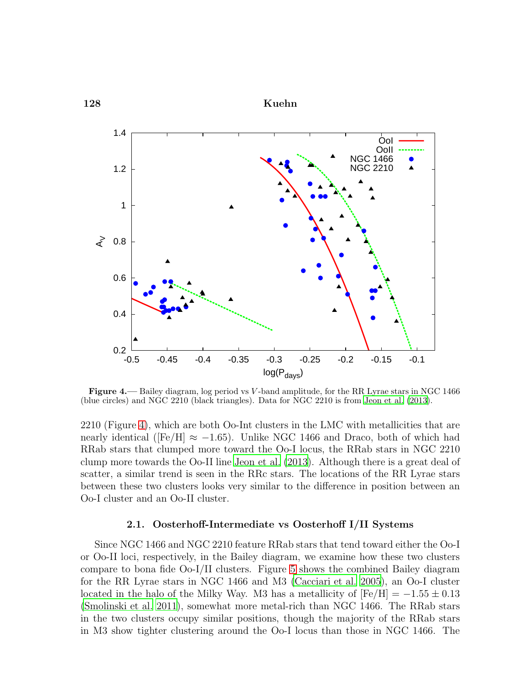

<span id="page-5-0"></span>Figure 4.— Bailey diagram, log period vs V-band amplitude, for the RR Lyrae stars in NGC 1466 (blue circles) and NGC 2210 (black triangles). Data for NGC 2210 is from [Jeon et al. \(2013\)](#page-15-9).

2210 (Figure [4\)](#page-5-0), which are both Oo-Int clusters in the LMC with metallicities that are nearly identical ([Fe/H]  $\approx -1.65$ ). Unlike NGC 1466 and Draco, both of which had RRab stars that clumped more toward the Oo-I locus, the RRab stars in NGC 2210 clump more towards the Oo-II line [Jeon et al. \(2013](#page-15-9)). Although there is a great deal of scatter, a similar trend is seen in the RRc stars. The locations of the RR Lyrae stars between these two clusters looks very similar to the difference in position between an Oo-I cluster and an Oo-II cluster.

#### 2.1. Oosterhoff-Intermediate vs Oosterhoff I/II Systems

Since NGC 1466 and NGC 2210 feature RRab stars that tend toward either the Oo-I or Oo-II loci, respectively, in the Bailey diagram, we examine how these two clusters compare to bona fide Oo-I/II clusters. Figure [5](#page-6-0) shows the combined Bailey diagram for the RR Lyrae stars in NGC 1466 and M3 [\(Cacciari et al. 2005\)](#page-14-7), an Oo-I cluster located in the halo of the Milky Way. M3 has a metallicity of  $[Fe/H] = -1.55 \pm 0.13$ [\(Smolinski et al. 2011\)](#page-15-14), somewhat more metal-rich than NGC 1466. The RRab stars in the two clusters occupy similar positions, though the majority of the RRab stars in M3 show tighter clustering around the Oo-I locus than those in NGC 1466. The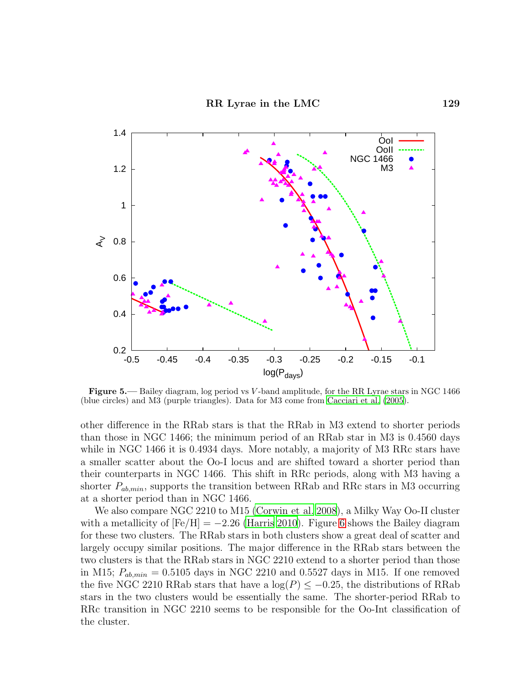

<span id="page-6-0"></span>Figure 5.— Bailey diagram, log period vs V-band amplitude, for the RR Lyrae stars in NGC 1466 (blue circles) and M3 (purple triangles). Data for M3 come from [Cacciari et al. \(2005](#page-14-7)).

other difference in the RRab stars is that the RRab in M3 extend to shorter periods than those in NGC 1466; the minimum period of an RRab star in M3 is 0.4560 days while in NGC 1466 it is 0.4934 days. More notably, a majority of M3 RRc stars have a smaller scatter about the Oo-I locus and are shifted toward a shorter period than their counterparts in NGC 1466. This shift in RRc periods, along with M3 having a shorter  $P_{ab,min}$ , supports the transition between RRab and RRc stars in M3 occurring at a shorter period than in NGC 1466.

We also compare NGC 2210 to M15 [\(Corwin et al. 2008\)](#page-14-8), a Milky Way Oo-II cluster with a metallicity of  $[Fe/H] = -2.26$  [\(Harris 2010](#page-14-9)). Figure [6](#page-7-0) shows the Bailey diagram for these two clusters. The RRab stars in both clusters show a great deal of scatter and largely occupy similar positions. The major difference in the RRab stars between the two clusters is that the RRab stars in NGC 2210 extend to a shorter period than those in M15;  $P_{ab,min} = 0.5105$  days in NGC 2210 and 0.5527 days in M15. If one removed the five NGC 2210 RRab stars that have a  $log(P) \le -0.25$ , the distributions of RRab stars in the two clusters would be essentially the same. The shorter-period RRab to RRc transition in NGC 2210 seems to be responsible for the Oo-Int classification of the cluster.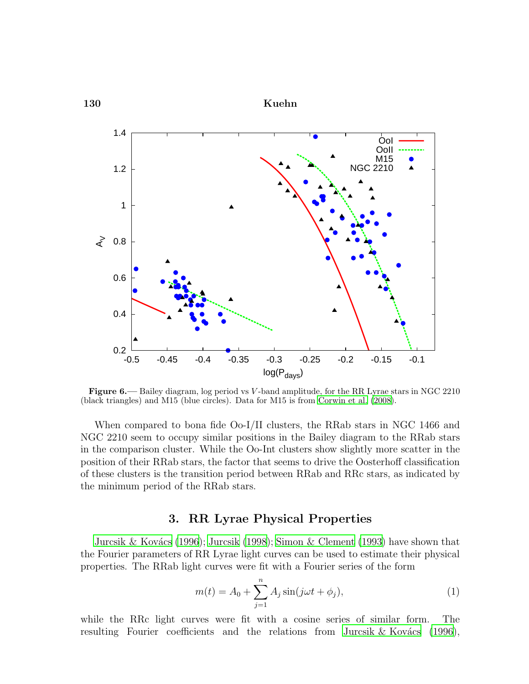

<span id="page-7-0"></span>Figure 6.— Bailey diagram, log period vs V-band amplitude, for the RR Lyrae stars in NGC 2210 (black triangles) and M15 (blue circles). Data for M15 is from [Corwin et al. \(2008\)](#page-14-8).

When compared to bona fide Oo-I/II clusters, the RRab stars in NGC 1466 and NGC 2210 seem to occupy similar positions in the Bailey diagram to the RRab stars in the comparison cluster. While the Oo-Int clusters show slightly more scatter in the position of their RRab stars, the factor that seems to drive the Oosterhoff classification of these clusters is the transition period between RRab and RRc stars, as indicated by the minimum period of the RRab stars.

# 3. RR Lyrae Physical Properties

Jurcsik & Kovács (1996); [Jurcsik \(1998\)](#page-15-16); [Simon & Clement \(1993](#page-15-17)) have shown that the Fourier parameters of RR Lyrae light curves can be used to estimate their physical properties. The RRab light curves were fit with a Fourier series of the form

$$
m(t) = A_0 + \sum_{j=1}^{n} A_j \sin(j\omega t + \phi_j),
$$
 (1)

while the RRc light curves were fit with a cosine series of similar form. The resulting Fourier coefficients and the relations from Jurcsik  $&$  Kovács (1996),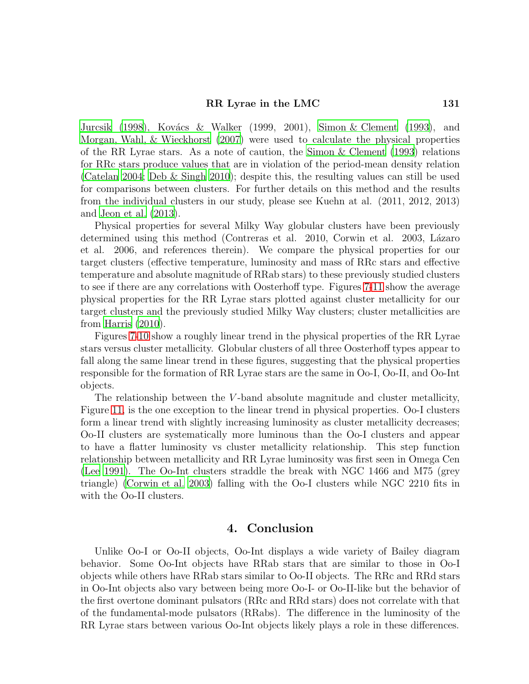#### RR Lyrae in the LMC 131

[Jurcsik \(1998\)](#page-15-16), Kovács & Walker (1999, 2001), [Simon & Clement \(1993\)](#page-15-17), and [Morgan, Wahl, & Wieckhorst \(2007\)](#page-15-18) were used to calculate the physical properties of the RR Lyrae stars. As a note of caution, the [Simon & Clement \(1993\)](#page-15-17) relations for RRc stars produce values that are in violation of the period-mean density relation [\(Catelan 2004](#page-14-10); [Deb & Singh 2010](#page-14-11)); despite this, the resulting values can still be used for comparisons between clusters. For further details on this method and the results from the individual clusters in our study, please see Kuehn at al. (2011, 2012, 2013) and [Jeon et al. \(2013](#page-15-9)).

Physical properties for several Milky Way globular clusters have been previously determined using this method (Contreras et al. 2010, Corwin et al. 2003, Lázaro et al. 2006, and references therein). We compare the physical properties for our target clusters (effective temperature, luminosity and mass of RRc stars and effective temperature and absolute magnitude of RRab stars) to these previously studied clusters to see if there are any correlations with Oosterhoff type. Figures [7-](#page-9-0)[11](#page-13-0) show the average physical properties for the RR Lyrae stars plotted against cluster metallicity for our target clusters and the previously studied Milky Way clusters; cluster metallicities are from [Harris \(2010](#page-14-9)).

Figures [7](#page-9-0)[-10](#page-12-0) show a roughly linear trend in the physical properties of the RR Lyrae stars versus cluster metallicity. Globular clusters of all three Oosterhoff types appear to fall along the same linear trend in these figures, suggesting that the physical properties responsible for the formation of RR Lyrae stars are the same in Oo-I, Oo-II, and Oo-Int objects.

The relationship between the  $V$ -band absolute magnitude and cluster metallicity, Figure [11,](#page-13-0) is the one exception to the linear trend in physical properties. Oo-I clusters form a linear trend with slightly increasing luminosity as cluster metallicity decreases; Oo-II clusters are systematically more luminous than the Oo-I clusters and appear to have a flatter luminosity vs cluster metallicity relationship. This step function relationship between metallicity and RR Lyrae luminosity was first seen in Omega Cen [\(Lee 1991\)](#page-15-19). The Oo-Int clusters straddle the break with NGC 1466 and M75 (grey triangle) [\(Corwin et al. 2003](#page-14-12)) falling with the Oo-I clusters while NGC 2210 fits in with the Oo-II clusters.

# 4. Conclusion

Unlike Oo-I or Oo-II objects, Oo-Int displays a wide variety of Bailey diagram behavior. Some Oo-Int objects have RRab stars that are similar to those in Oo-I objects while others have RRab stars similar to Oo-II objects. The RRc and RRd stars in Oo-Int objects also vary between being more Oo-I- or Oo-II-like but the behavior of the first overtone dominant pulsators (RRc and RRd stars) does not correlate with that of the fundamental-mode pulsators (RRabs). The difference in the luminosity of the RR Lyrae stars between various Oo-Int objects likely plays a role in these differences.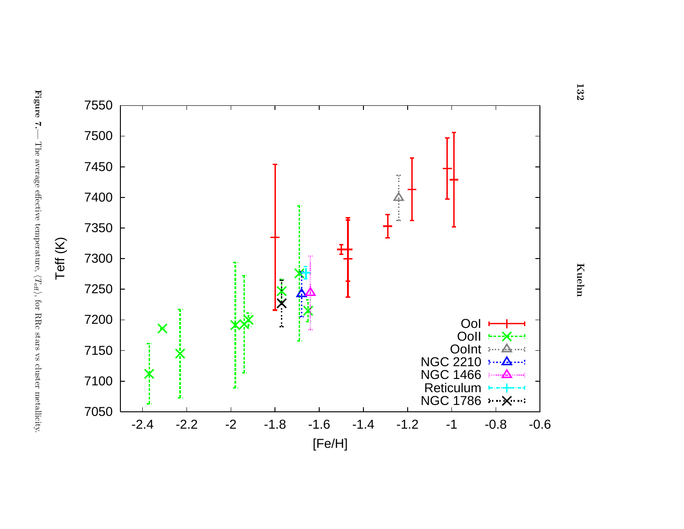<span id="page-9-0"></span>



**132** 

132 KuehnKuehn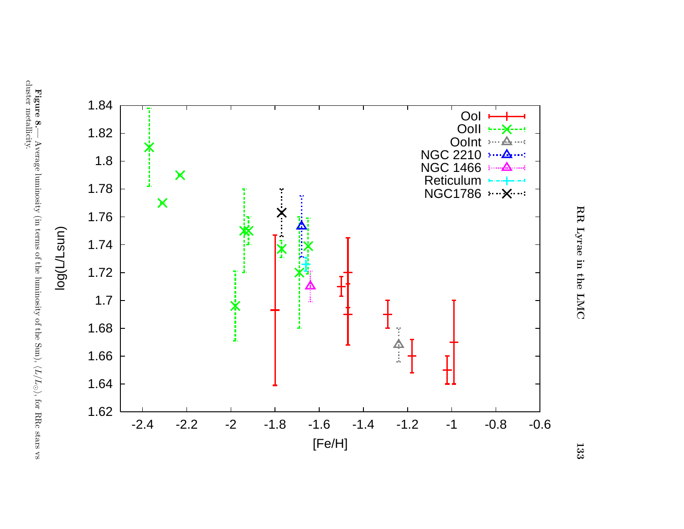



Figure 8.— Average luminosity (in terms of the luminosity of the Sun),  $\langle L/L_{\odot}$ ), for RRc stars vs cluster metallicity.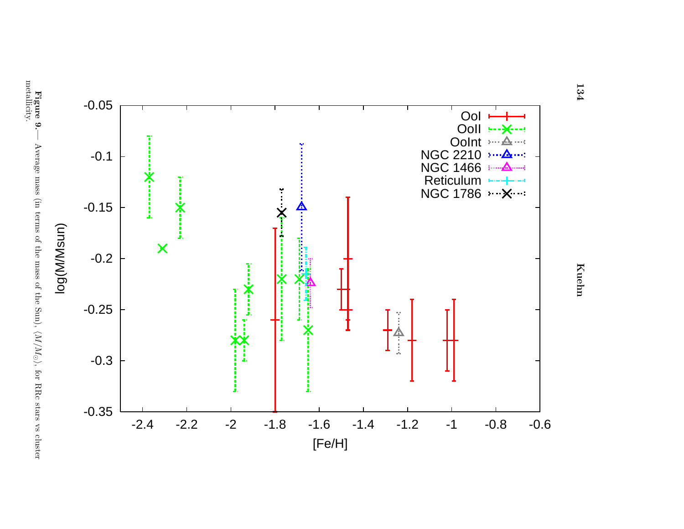

134

134 KuehnKuehn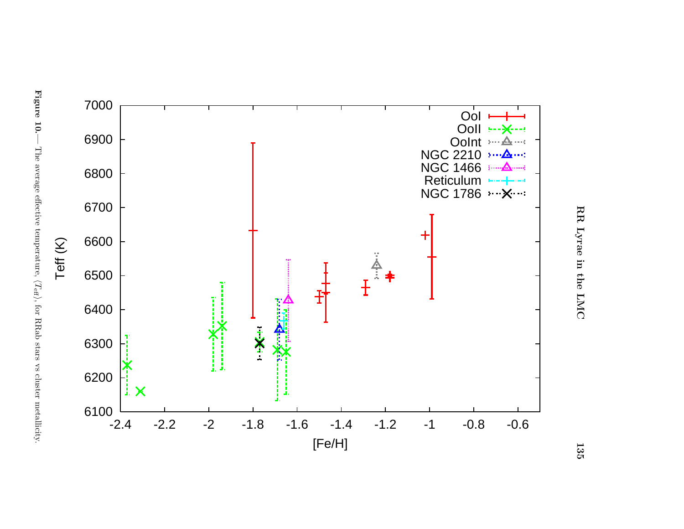

<span id="page-12-0"></span>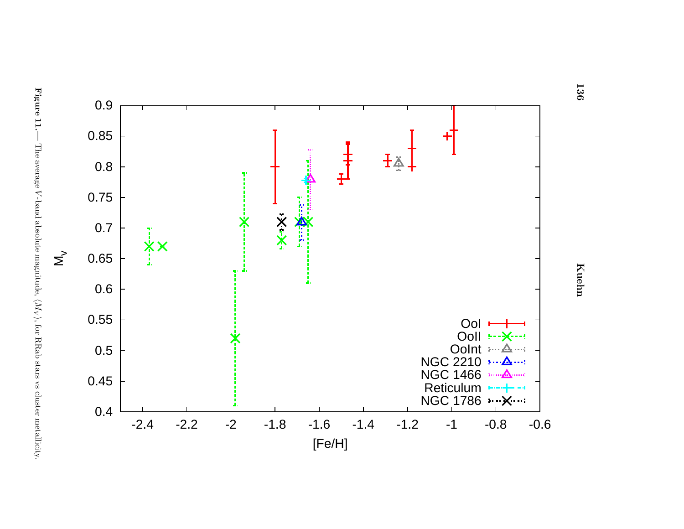<span id="page-13-0"></span>



136

136 KuehnKuehn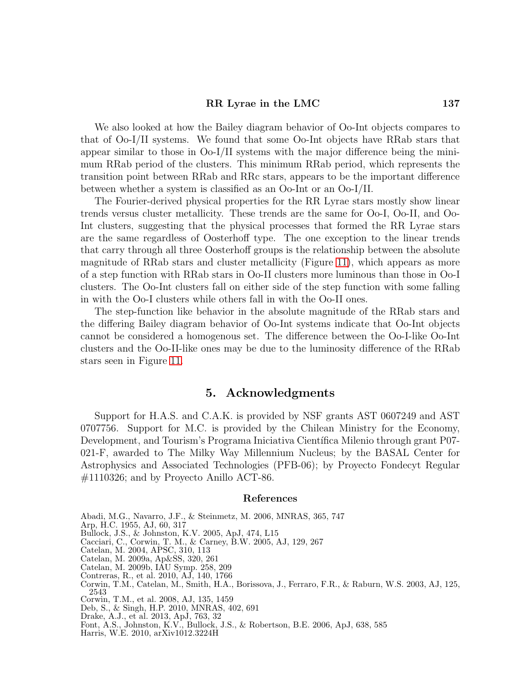#### RR Lyrae in the LMC 137

We also looked at how the Bailey diagram behavior of Oo-Int objects compares to that of Oo-I/II systems. We found that some Oo-Int objects have RRab stars that appear similar to those in Oo-I/II systems with the major difference being the minimum RRab period of the clusters. This minimum RRab period, which represents the transition point between RRab and RRc stars, appears to be the important difference between whether a system is classified as an Oo-Int or an Oo-I/II.

The Fourier-derived physical properties for the RR Lyrae stars mostly show linear trends versus cluster metallicity. These trends are the same for Oo-I, Oo-II, and Oo-Int clusters, suggesting that the physical processes that formed the RR Lyrae stars are the same regardless of Oosterhoff type. The one exception to the linear trends that carry through all three Oosterhoff groups is the relationship between the absolute magnitude of RRab stars and cluster metallicity (Figure [11\)](#page-13-0), which appears as more of a step function with RRab stars in Oo-II clusters more luminous than those in Oo-I clusters. The Oo-Int clusters fall on either side of the step function with some falling in with the Oo-I clusters while others fall in with the Oo-II ones.

The step-function like behavior in the absolute magnitude of the RRab stars and the differing Bailey diagram behavior of Oo-Int systems indicate that Oo-Int objects cannot be considered a homogenous set. The difference between the Oo-I-like Oo-Int clusters and the Oo-II-like ones may be due to the luminosity difference of the RRab stars seen in Figure [11.](#page-13-0)

### 5. Acknowledgments

Support for H.A.S. and C.A.K. is provided by NSF grants AST 0607249 and AST 0707756. Support for M.C. is provided by the Chilean Ministry for the Economy, Development, and Tourism's Programa Iniciativa Científica Milenio through grant P07-021-F, awarded to The Milky Way Millennium Nucleus; by the BASAL Center for Astrophysics and Associated Technologies (PFB-06); by Proyecto Fondecyt Regular #1110326; and by Proyecto Anillo ACT-86.

#### References

<span id="page-14-3"></span>Abadi, M.G., Navarro, J.F., & Steinmetz, M. 2006, MNRAS, 365, 747

- <span id="page-14-1"></span>Arp, H.C. 1955, AJ, 60, 317
- <span id="page-14-2"></span>Bullock, J.S., & Johnston, K.V. 2005, ApJ, 474, L15
- <span id="page-14-7"></span>Cacciari, C., Corwin, T. M., & Carney, B.W. 2005, AJ, 129, 267
- <span id="page-14-10"></span>Catelan, M. 2004, APSC, 310, 113
- <span id="page-14-5"></span>Catelan, M. 2009a, Ap&SS, 320, 261
- <span id="page-14-0"></span>Catelan, M. 2009b, IAU Symp. 258, 209
- Contreras, R., et al. 2010, AJ, 140, 1766
- <span id="page-14-12"></span>Corwin, T.M., Catelan, M., Smith, H.A., Borissova, J., Ferraro, F.R., & Raburn, W.S. 2003, AJ, 125, 2543
- <span id="page-14-8"></span>Corwin, T.M., et al. 2008, AJ, 135, 1459
- Deb, S., & Singh, H.P. 2010, MNRAS, 402, 691
- <span id="page-14-11"></span><span id="page-14-6"></span>Drake, A.J., et al. 2013, ApJ, 763, 32
- <span id="page-14-4"></span>Font, A.S., Johnston, K.V., Bullock, J.S., & Robertson, B.E. 2006, ApJ, 638, 585
- <span id="page-14-9"></span>Harris, W.E. 2010, arXiv1012.3224H